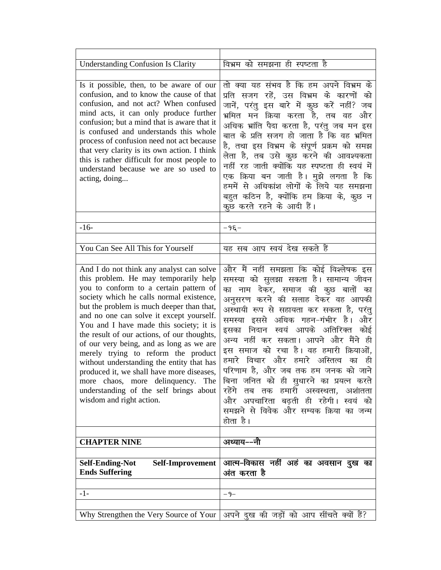| <b>Understanding Confusion Is Clarity</b>                                                                                                                                                                                                                                                                                                                                                                                                                                                                                                                                                                                                          | विभ्रम को समझना ही स्पष्टता है                                                                                                                                                                                                                                                                                                                                                                                                                                                                                                                                                                                                       |
|----------------------------------------------------------------------------------------------------------------------------------------------------------------------------------------------------------------------------------------------------------------------------------------------------------------------------------------------------------------------------------------------------------------------------------------------------------------------------------------------------------------------------------------------------------------------------------------------------------------------------------------------------|--------------------------------------------------------------------------------------------------------------------------------------------------------------------------------------------------------------------------------------------------------------------------------------------------------------------------------------------------------------------------------------------------------------------------------------------------------------------------------------------------------------------------------------------------------------------------------------------------------------------------------------|
|                                                                                                                                                                                                                                                                                                                                                                                                                                                                                                                                                                                                                                                    |                                                                                                                                                                                                                                                                                                                                                                                                                                                                                                                                                                                                                                      |
| Is it possible, then, to be aware of our<br>confusion, and to know the cause of that<br>confusion, and not act? When confused<br>mind acts, it can only produce further<br>confusion; but a mind that is aware that it<br>is confused and understands this whole<br>process of confusion need not act because<br>that very clarity is its own action. I think<br>this is rather difficult for most people to<br>understand because we are so used to<br>acting, doing                                                                                                                                                                              | तो क्या यह संभव है कि हम अपने विभ्रम के<br>प्रति सजग रहें, उस विभ्रम के कारणों को<br>जानें, परंतु इस बारे में कुछ करें नहीं? जब<br>भ्रमित मन क्रिया करता है, तब वह और<br>अधिक भ्रांति पैदा करता है, परंतु जब मन इस<br>बात के प्रति सजग हो जाता है कि वह भ्रमित<br>है, तथा इस विभ्रम के संपूर्ण प्रक्रम को समझ<br>लेता है, तब उसे कुछ करने की आवश्यकता<br>नहीं रह जाती क्योंकि यह स्पष्टता ही स्वयं में<br>एक क्रिया बन जाती है। मुझे लगता है कि<br>हममें से अधिकांश लोगों के लिये यह समझना<br>बहुत कठिन है, क्योंकि हम क्रिया के, कुछ न<br>कुछ करते रहने के आदी हैं।                                                                 |
| $-16-$                                                                                                                                                                                                                                                                                                                                                                                                                                                                                                                                                                                                                                             | $-9\xi-$                                                                                                                                                                                                                                                                                                                                                                                                                                                                                                                                                                                                                             |
|                                                                                                                                                                                                                                                                                                                                                                                                                                                                                                                                                                                                                                                    |                                                                                                                                                                                                                                                                                                                                                                                                                                                                                                                                                                                                                                      |
| You Can See All This for Yourself                                                                                                                                                                                                                                                                                                                                                                                                                                                                                                                                                                                                                  | यह सब आप स्वयं देख सकते हैं                                                                                                                                                                                                                                                                                                                                                                                                                                                                                                                                                                                                          |
|                                                                                                                                                                                                                                                                                                                                                                                                                                                                                                                                                                                                                                                    |                                                                                                                                                                                                                                                                                                                                                                                                                                                                                                                                                                                                                                      |
| And I do not think any analyst can solve<br>this problem. He may temporarily help<br>you to conform to a certain pattern of<br>society which he calls normal existence,<br>but the problem is much deeper than that,<br>and no one can solve it except yourself.<br>You and I have made this society; it is<br>the result of our actions, of our thoughts,<br>of our very being, and as long as we are<br>merely trying to reform the product<br>without understanding the entity that has<br>produced it, we shall have more diseases,<br>more chaos, more delinquency. The<br>understanding of the self brings about<br>wisdom and right action. | और मैं नहीं समझता कि कोई विश्लेषक इस<br>समस्या को सुलझा सकता है। सामान्य जीवन<br>का नाम देकर, समाज की कुछ बातों का<br>अनुसरण करने की सलाह देकर वह आपकी<br>अस्थायी रूप से सहायता कर सकता है, परंतु<br>समस्या इससे अधिक गहन-गंभीर है। और<br>इसका निदान स्वयं आपके अतिरिक्त<br>कोई<br>अन्य नहीं कर सकता। आपने और मैंने ही<br>इस समाज को रचा है। वह हमारी क्रियाओं,<br>हमारे विचार और हमारे अस्तित्व<br>का<br>हो<br>परिणाम है, और जब तक हम जनक को जाने<br>बिना जनित को ही सुधारने का प्रयत्न करते<br>रहेंगे तब तक हमारी अस्वस्थता, अशांतता<br>और अपचारिता बढ़ती ही रहेगी। स्वयं को<br>समझने से विवेक और सम्यक क्रिया का जन्म<br>होता है। |
| <b>CHAPTER NINE</b>                                                                                                                                                                                                                                                                                                                                                                                                                                                                                                                                                                                                                                | अध्याय--नौ                                                                                                                                                                                                                                                                                                                                                                                                                                                                                                                                                                                                                           |
|                                                                                                                                                                                                                                                                                                                                                                                                                                                                                                                                                                                                                                                    |                                                                                                                                                                                                                                                                                                                                                                                                                                                                                                                                                                                                                                      |
| <b>Self-Ending-Not</b><br>Self-Improvement<br><b>Ends Suffering</b>                                                                                                                                                                                                                                                                                                                                                                                                                                                                                                                                                                                | आत्म-विकास नहीं अहं का अवसान दुख का<br>अंत करता है                                                                                                                                                                                                                                                                                                                                                                                                                                                                                                                                                                                   |
| $-1-$                                                                                                                                                                                                                                                                                                                                                                                                                                                                                                                                                                                                                                              | $-9-$                                                                                                                                                                                                                                                                                                                                                                                                                                                                                                                                                                                                                                |
|                                                                                                                                                                                                                                                                                                                                                                                                                                                                                                                                                                                                                                                    |                                                                                                                                                                                                                                                                                                                                                                                                                                                                                                                                                                                                                                      |
| Why Strengthen the Very Source of Your                                                                                                                                                                                                                                                                                                                                                                                                                                                                                                                                                                                                             | अपने दुख की जड़ों को आप सींचते क्यों हैं?                                                                                                                                                                                                                                                                                                                                                                                                                                                                                                                                                                                            |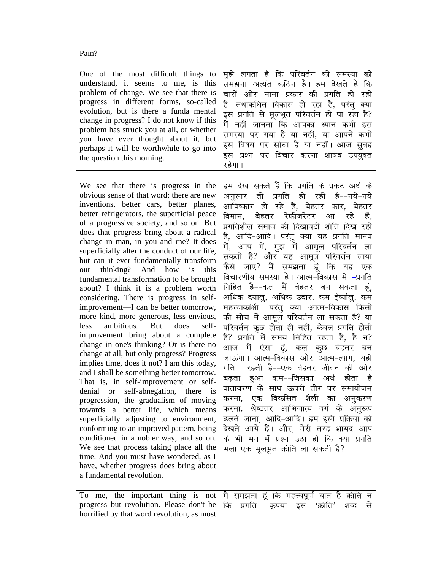| Pain?                                                                                                                                                                                                                                                                                                                                                                                                                                                                                                                                                                                                                                                                                                                                                                                                                                                                                                                                                                                                                                                                                                                                                                                                                                                                                                                                                                                                             |                                                                                                                                                                                                                                                                                                                                                                                                                                                                                                                                                                                                                                                                                                                                                                                                                                                                                                                                                                                                                                                                                                                                                       |
|-------------------------------------------------------------------------------------------------------------------------------------------------------------------------------------------------------------------------------------------------------------------------------------------------------------------------------------------------------------------------------------------------------------------------------------------------------------------------------------------------------------------------------------------------------------------------------------------------------------------------------------------------------------------------------------------------------------------------------------------------------------------------------------------------------------------------------------------------------------------------------------------------------------------------------------------------------------------------------------------------------------------------------------------------------------------------------------------------------------------------------------------------------------------------------------------------------------------------------------------------------------------------------------------------------------------------------------------------------------------------------------------------------------------|-------------------------------------------------------------------------------------------------------------------------------------------------------------------------------------------------------------------------------------------------------------------------------------------------------------------------------------------------------------------------------------------------------------------------------------------------------------------------------------------------------------------------------------------------------------------------------------------------------------------------------------------------------------------------------------------------------------------------------------------------------------------------------------------------------------------------------------------------------------------------------------------------------------------------------------------------------------------------------------------------------------------------------------------------------------------------------------------------------------------------------------------------------|
| One of the most difficult things to<br>understand, it seems to me, is this<br>problem of change. We see that there is<br>progress in different forms, so-called<br>evolution, but is there a funda mental<br>change in progress? I do not know if this<br>problem has struck you at all, or whether<br>you have ever thought about it, but<br>perhaps it will be worthwhile to go into<br>the question this morning.                                                                                                                                                                                                                                                                                                                                                                                                                                                                                                                                                                                                                                                                                                                                                                                                                                                                                                                                                                                              | मुझे लगता है कि परिवर्तन की समस्या<br>को<br>समझना अत्यंत कठिन है। हम देखते हैं<br>कि<br>चारों ओर नाना प्रकार की प्रगति हो<br>रही<br>है––तथाकथित विकास हो रहा है, परंतु<br>क्या<br>इस प्रगति से मूलभूत परिवर्तन हो पा रहा है?<br>मैं नहीं जानता कि आपका ध्यान कभी इस<br>समस्या पर गया है या नहीं, या आपने कभी<br>इस विषय पर सोचा है या नहीं। आज सुबह<br>इस प्रश्न पर विचार करना शायद उपयुक्त<br>रहेगा ।                                                                                                                                                                                                                                                                                                                                                                                                                                                                                                                                                                                                                                                                                                                                                |
| We see that there is progress in the<br>obvious sense of that word; there are new<br>inventions, better cars, better planes,<br>better refrigerators, the superficial peace<br>of a progressive society, and so on. But<br>does that progress bring about a radical<br>change in man, in you and rne? It does<br>superficially alter the conduct of our life,<br>but can it ever fundamentally transform<br>thinking? And how<br>is<br>this<br>our<br>fundamental transformation to be brought<br>about? I think it is a problem worth<br>considering. There is progress in self-<br>improvement—I can be better tomorrow,<br>more kind, more generous, less envious,<br>ambitious.<br>But<br>less<br>does<br>self-<br>improvement bring about a complete<br>change in one's thinking? Or is there no<br>change at all, but only progress? Progress<br>implies time, does it not? I am this today,<br>and I shall be something better tomorrow.<br>That is, in self-improvement or self-<br>self-abnegation, there is<br>denial or<br>progression, the gradualism of moving<br>towards a better life, which means<br>superficially adjusting to environment,<br>conforming to an improved pattern, being<br>conditioned in a nobler way, and so on.<br>We see that process taking place all the<br>time. And you must have wondered, as I<br>have, whether progress does bring about<br>a fundamental revolution. | हम देख सकते हैं कि प्रगति के प्रकट अर्थ के<br>तो प्रगति हो रही है--नये-नये<br>अनुसार<br>आविष्कार हो रहे हैं, बेहतर कार, बेहतर<br>बेहतर रेफ्रीजरेटर आ<br>विमान,<br>रहे<br>प्रगतिशील समाज की दिखावटी शांति दिख रही<br>है, आदि-आदि। परंतु क्या यह प्रगति मानव<br>में, आप में, मुझ में आमूल परिवर्तन ला<br>सकती है? और यह आमूल परिवर्तन लाया<br>कैसे जाए? मैं समझता हूं कि यह<br>एक<br>विचारणीय समस्या है। आत्म-विकास में –प्रगति<br>निहित है––कल मैं बेहतर बन सकता<br>अधिक दयालु, अधिक उदार, कम ईर्ष्यालु, कम<br>महत्त्वाकांक्षी। परंतु क्या आत्म-विकास किसी<br>की सोच में आमूल परिवर्तन ला सकता है? या<br>परिवर्तन कुछ होता ही नहीं, केवल प्रगति होती<br>है? प्रगति में समय निहित रहता है, है न?<br>आज मैं ऐसा हूं, कल कूछ बेहतर<br>बन<br>जाऊंगा। आत्म-विकास और आत्म-त्याग, यही<br>गति —रहती है––एक बेहतर जीवन की ओर<br>हुआ क्रम--जिसका अर्थ होता है<br>बढ़ता<br>वातावरण के साथ ऊपरी तौर पर समायोजन<br>एक विकसित शैली का अनुकरण<br>करना,<br>करना, श्रेष्ठतर आभिजात्य वर्ग के अनुरूप<br>ढलते जाना, आदि-आदि। हम इसी प्रक्रिया को<br>देखते आये हैं। और, मेरी तरह शायद आप<br>के भी मन में प्रश्न उठा हो कि क्या प्रगति<br>भला एक मूलभूत क्रांति ला सकती है? |
| To me, the important thing is not<br>progress but revolution. Please don't be<br>horrified by that word revolution, as most                                                                                                                                                                                                                                                                                                                                                                                                                                                                                                                                                                                                                                                                                                                                                                                                                                                                                                                                                                                                                                                                                                                                                                                                                                                                                       | मै समझता हूं कि महत्त्वपूर्ण बात है क्रांति न<br>प्रगति। कृपया इस<br>'क्रांति'<br>कि<br>शब्द<br>से                                                                                                                                                                                                                                                                                                                                                                                                                                                                                                                                                                                                                                                                                                                                                                                                                                                                                                                                                                                                                                                    |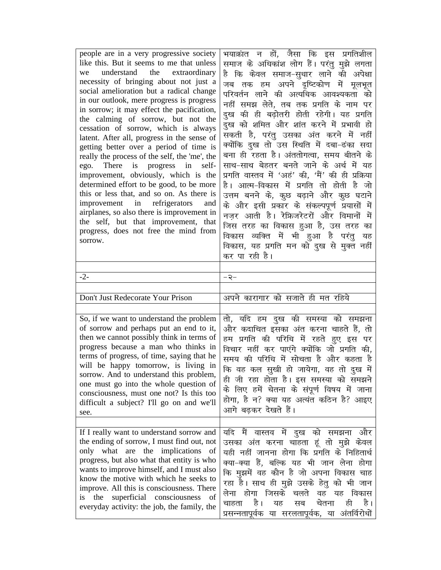| people are in a very progressive society<br>like this. But it seems to me that unless<br>understand the extraordinary<br>we<br>necessity of bringing about not just a<br>social amelioration but a radical change<br>in our outlook, mere progress is progress<br>in sorrow; it may effect the pacification,<br>the calming of sorrow, but not the<br>cessation of sorrow, which is always<br>latent. After all, progress in the sense of<br>getting better over a period of time is<br>really the process of the self, the 'me', the<br>ego. There is progress in<br>self-<br>improvement, obviously, which is the<br>determined effort to be good, to be more<br>this or less that, and so on. As there is<br>improvement in refrigerators<br>and<br>airplanes, so also there is improvement in<br>the self, but that improvement, that<br>progress, does not free the mind from<br>sorrow. | भयाक्रांत न हों, जैसा कि इस प्रगतिशील<br>समाज के अधिकांश लोग हैं। परंतु मुझे लगता<br>है कि केवल समाज–सुधार लाने की अपेक्षा<br>जब तक हम अपने दृष्टिकोण में मूलभूत<br>परिवर्तन लाने की अत्यधिक आवश्यकता को<br>नहीं समझ लेते, तब तक प्रगति के नाम पर<br>दुख की ही बढ़ोतरी होती रहेगी। यह प्रगति<br>दुख को शमित और शांत करने में प्रभावी हो<br>सकती है, परंतु उसका अंत करने में नहीं<br>क्योंकि दुख तो उस स्थिति में दबा-ढंका सदा<br>बना ही रहता है। अंततोगत्वा, समय बीतने के<br>साथ-साथ बेहतर बनते जाने के अर्थ में यह<br>प्रगति वास्तव में 'अहं' की, 'मैं' की ही प्रक्रिया<br>है। आत्म-विकास में प्रगति तो होती है जो<br>उत्तम बनने के, कूछ बढ़ाने और कूछ घटाने<br>के और इसी प्रकार के संकल्पपूर्ण प्रयासों में<br>नज़र आती है। रेफ्रिजरेटरों और विमानों में<br>जिस तरह का विकास हुआ है, उस तरह का<br>विकास व्यक्ति में भी हुआ है परंतु यह<br>विकास, यह प्रगति मन को दुख से मुक्त नहीं<br>कर पा रही है। |
|-----------------------------------------------------------------------------------------------------------------------------------------------------------------------------------------------------------------------------------------------------------------------------------------------------------------------------------------------------------------------------------------------------------------------------------------------------------------------------------------------------------------------------------------------------------------------------------------------------------------------------------------------------------------------------------------------------------------------------------------------------------------------------------------------------------------------------------------------------------------------------------------------|-------------------------------------------------------------------------------------------------------------------------------------------------------------------------------------------------------------------------------------------------------------------------------------------------------------------------------------------------------------------------------------------------------------------------------------------------------------------------------------------------------------------------------------------------------------------------------------------------------------------------------------------------------------------------------------------------------------------------------------------------------------------------------------------------------------------------------------------------------------------------------------------------------|
| $-2-$                                                                                                                                                                                                                                                                                                                                                                                                                                                                                                                                                                                                                                                                                                                                                                                                                                                                                         | –২–                                                                                                                                                                                                                                                                                                                                                                                                                                                                                                                                                                                                                                                                                                                                                                                                                                                                                                   |
| Don't Just Redecorate Your Prison                                                                                                                                                                                                                                                                                                                                                                                                                                                                                                                                                                                                                                                                                                                                                                                                                                                             | अपने कारागार को सजाते ही मत रहिये                                                                                                                                                                                                                                                                                                                                                                                                                                                                                                                                                                                                                                                                                                                                                                                                                                                                     |
| So, if we want to understand the problem<br>of sorrow and perhaps put an end to it,<br>then we cannot possibly think in terms of<br>progress because a man who thinks in<br>terms of progress, of time, saying that he<br>will be happy tomorrow, is living in<br>sorrow. And to understand this problem,<br>one must go into the whole question of<br>consciousness, must one not? Is this too<br>difficult a subject? I'll go on and we'll<br>see.                                                                                                                                                                                                                                                                                                                                                                                                                                          | तो, यदि हम दुख की समस्या को समझना<br>और कदाचित इसका अंत करना चाहते हैं, तो<br>हम प्रगति की परिधि में रहते हुए इस पर<br>विचार नहीं कर पाएंगे क्योंकि जो प्रगति की,<br>समय की परिधि में सोचता है और कहता है<br>कि वह कल सुखी हो जायेगा, वह तो दुख में<br>ही जी रहा होता है। इस समस्या को समझने<br>के लिए हमें चेतना के संपूर्ण विषय में जाना<br>होगा, है न? क्या यह अत्यंत कठिन है? आइए<br>आगे बढ़कर देखते हैं।                                                                                                                                                                                                                                                                                                                                                                                                                                                                                         |
| If I really want to understand sorrow and<br>the ending of sorrow, I must find out, not<br>only what are the implications of<br>progress, but also what that entity is who<br>wants to improve himself, and I must also<br>know the motive with which he seeks to                                                                                                                                                                                                                                                                                                                                                                                                                                                                                                                                                                                                                             | यदि मैं वास्तव में दुख को समझना और<br>उसका अंत करना चाहता हूं तो मुझे केवल<br>यही नहीं जानना होगा कि प्रगति के निहितार्थ<br>क्या-क्या हैं, बल्कि यह भी जान लेना होगा<br>कि मुझमें वह कौन है जो अपना विकास चाह                                                                                                                                                                                                                                                                                                                                                                                                                                                                                                                                                                                                                                                                                         |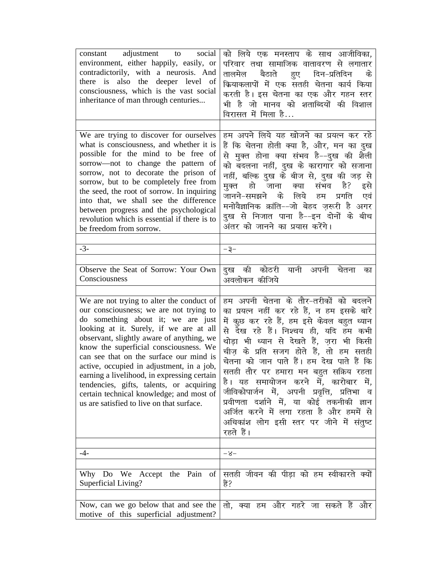| constant adjustment to social<br>environment, either happily, easily, or<br>contradictorily, with a neurosis. And<br>there is also the deeper level of<br>consciousness, which is the vast social<br>inheritance of man through centuries                                                                                                                                                                                                                                                                                                | को लिये एक मनस्ताप के साथ आजीविका,<br>परिवार तथा सामाजिक वातावरण से लगातार<br>तालमेल बैठाते हुए दिन-प्रतिदिन के<br>क्रियाकलापों में एक सतही चेतना कार्य किया<br>करती है। इस चेतना का एक और गहन स्तर<br>भी है जो मानव को शताब्दियों की विशाल<br>विरासत में मिला है                                                                                                                                                                                                                                                                                                                               |
|------------------------------------------------------------------------------------------------------------------------------------------------------------------------------------------------------------------------------------------------------------------------------------------------------------------------------------------------------------------------------------------------------------------------------------------------------------------------------------------------------------------------------------------|-------------------------------------------------------------------------------------------------------------------------------------------------------------------------------------------------------------------------------------------------------------------------------------------------------------------------------------------------------------------------------------------------------------------------------------------------------------------------------------------------------------------------------------------------------------------------------------------------|
| We are trying to discover for ourselves<br>what is consciousness, and whether it is<br>possible for the mind to be free of<br>sorrow-not to change the pattern of<br>sorrow, not to decorate the prison of<br>sorrow, but to be completely free from<br>the seed, the root of sorrow. In inquiring<br>into that, we shall see the difference<br>between progress and the psychological<br>revolution which is essential if there is to<br>be freedom from sorrow.                                                                        | हम अपने लिये यह खोजने का प्रयत्न कर रहे<br>हैं कि चेतना होती क्या है, और, मन का दुख<br>से मुक्त होना क्या संभव है--दुख की शैली<br>को बदलना नहीं, दुख के कारागार को सजाना<br>नहीं, बल्कि दुख के बीज से, दुख की जड़ से<br>मुक्त हो जाना क्या संभव है? इसे<br>के लिये हम प्रगति<br>जानने-समझने<br>एवं<br>मनोवैज्ञानिक क्रांति--जो बेहद ज़रूरी है अगर<br>दुख से निजात पाना है--इन दोनों के बीच<br>अंतर को जानने का प्रयास करेंगे।                                                                                                                                                                   |
| $-3-$                                                                                                                                                                                                                                                                                                                                                                                                                                                                                                                                    | -३-                                                                                                                                                                                                                                                                                                                                                                                                                                                                                                                                                                                             |
| Observe the Seat of Sorrow: Your Own<br>Consciousness                                                                                                                                                                                                                                                                                                                                                                                                                                                                                    | दुख की कोठरी यानी अपनी चेतना<br>का<br>अवलोकन कीजिये                                                                                                                                                                                                                                                                                                                                                                                                                                                                                                                                             |
| We are not trying to alter the conduct of<br>our consciousness; we are not trying to<br>do something about it; we are just<br>looking at it. Surely, if we are at all<br>observant, slightly aware of anything, we<br>know the superficial consciousness. We<br>can see that on the surface our mind is<br>active, occupied in adjustment, in a job,<br>earning a livelihood, in expressing certain<br>tendencies, gifts, talents, or acquiring<br>certain technical knowledge; and most of<br>us are satisfied to live on that surface. | हम अपनी चेतना के तोर-तरीकों को बदलने<br>का प्रयत्न नहीं कर रहे हैं, न हम इसके बारे<br>में कुछ कर रहे हैं, हम इसे केवल बहुत ध्यान<br>से देख रहे हैं। निश्चय ही, यदि हम कभी<br>थोड़ा भी ध्यान से देखते हैं, ज़रा भी किसी<br>चीज़ के प्रति सजग होते हैं, तो हम सतही<br>चेतना को जान पाते हैं। हम देख पाते हैं कि<br>सतही तौर पर हमारा मन बहुत सक्रिय रहता<br>है। यह समायोजन करने में, कारोबार में,<br>जीविकोपार्जन में, अपनी प्रवृत्ति, प्रतिभा व<br>प्रवीणता दर्शाने में, या कोई तकनीकी ज्ञान<br>अर्जित करने में लगा रहता है और हममें से<br>अधिकांश लोग इसी स्तर पर जीने में संतुष्ट<br>रहते हैं। |
| $-4-$                                                                                                                                                                                                                                                                                                                                                                                                                                                                                                                                    | $-8-$                                                                                                                                                                                                                                                                                                                                                                                                                                                                                                                                                                                           |
|                                                                                                                                                                                                                                                                                                                                                                                                                                                                                                                                          |                                                                                                                                                                                                                                                                                                                                                                                                                                                                                                                                                                                                 |
| Why Do We Accept the Pain of<br>Superficial Living?                                                                                                                                                                                                                                                                                                                                                                                                                                                                                      | सतही जीवन की पीड़ा को हम स्वीकारते क्यों<br>हैं?                                                                                                                                                                                                                                                                                                                                                                                                                                                                                                                                                |
| Now, can we go below that and see the                                                                                                                                                                                                                                                                                                                                                                                                                                                                                                    | तो, क्या हम और गहरे जा सकते हैं और                                                                                                                                                                                                                                                                                                                                                                                                                                                                                                                                                              |
| motive of this superficial adjustment?                                                                                                                                                                                                                                                                                                                                                                                                                                                                                                   |                                                                                                                                                                                                                                                                                                                                                                                                                                                                                                                                                                                                 |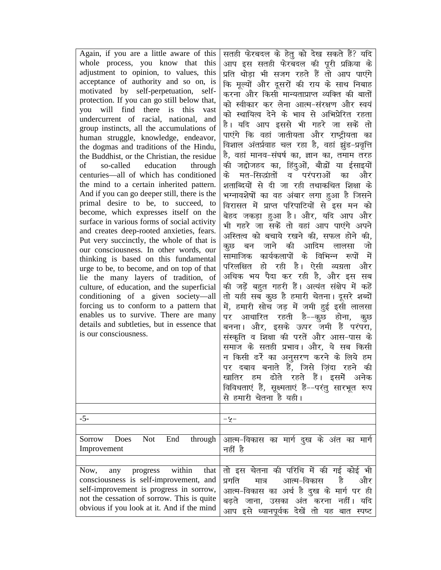| Again, if you are a little aware of this     | सतही फेरबदल के हेतु को देख सकते हैं? यदि         |
|----------------------------------------------|--------------------------------------------------|
| whole process, you know that this            | आप इस सतही फेरबदल की पूरी प्रक्रिया के           |
| adjustment to opinion, to values, this       | प्रति थोड़ा भी सजग रहते हैं तो आप पाएंगे         |
| acceptance of authority and so on, is        | कि मूल्यों और दूसरों की राय के साथ निबाह         |
| motivated by self-perpetuation,<br>self-     | करना और किसी मान्यताप्राप्त व्यक्ति की बातों     |
| protection. If you can go still below that,  | को स्वीकार कर लेना आत्म-संरक्षण और स्वयं         |
| you will find there is this<br>vast          |                                                  |
| undercurrent of racial, national, and        | को स्थायित्व देने के भाव से अभिप्रेरित रहता      |
| group instincts, all the accumulations of    | है। यदि आप इससे भी गहरे जा सकें तो               |
| human struggle, knowledge, endeavor,         | पाएंगे कि वहां जातीयता और राष्ट्रीयता का         |
| the dogmas and traditions of the Hindu,      | विशाल अंतर्प्रवाह चल रहा है, वहां झुंड-प्रवृत्ति |
| the Buddhist, or the Christian, the residue  | है, वहां मानव-संघर्ष का, ज्ञान का, तमाम तरह      |
| so-called education through<br>of            | की जद्दोजहद का, हिंदुओं, बौद्वों या ईसाइयों      |
| centuries—all of which has conditioned       | मत-सिद्धांतों व परंपराओं का<br>के<br>और          |
| the mind to a certain inherited pattern.     | शताब्दियों से दी जा रही तथाकथित शिक्षा के        |
| And if you can go deeper still, there is the | भग्नावशेषों का वह अंबार लगा हुआ है जिसने         |
| primal desire to be, to succeed, to          | विरासत में प्राप्त परिपाटियों से इस मन को        |
| become, which expresses itself on the        |                                                  |
| surface in various forms of social activity  | बेहद जकड़ा हुआ है। और, यदि आप और                 |
| and creates deep-rooted anxieties, fears.    | भी गहरे जा सकें तो वहां आप पाएंगे अपने           |
| Put very succinctly, the whole of that is    | अस्तित्व को बचाये रखने की, सफल होने की,          |
| our consciousness. In other words, our       | कूछ बन जाने की आदिम लालसा<br>जो                  |
| thinking is based on this fundamental        | सामाजिक कार्यकलापों के विभिन्न रूपों<br>में      |
| urge to be, to become, and on top of that    | परिलक्षित हो रही है। ऐसी व्यग्रता<br>और          |
| lie the many layers of tradition, of         | अधिक भय पैदा कर रही है, और इस सब                 |
| culture, of education, and the superficial   | की जड़ें बहुत गहरी हैं। अत्यंत संक्षेप में कहें  |
| conditioning of a given society—all          | तो यही सब कुछ है हमारी चेतना। दूसरे शब्दों       |
| forcing us to conform to a pattern that      | में, हमारी सोच जड़ में जमी हुई इसी लालसा         |
| enables us to survive. There are many        | पर आधारित रहती है--कुछ होना,<br>कूछ              |
| details and subtleties, but in essence that  |                                                  |
| is our consciousness.                        | बनना। और, इसके ऊपर जमी हैं परंपरा,               |
|                                              | संस्कृति व शिक्षा की परतें और आस-पास के          |
|                                              | समाज के सतही प्रभाव। और, ये सब किसी              |
|                                              | न किसी ढर्रे का अनुसरण करने के लिये हम           |
|                                              | पर दबाव बनाते हैं, जिसे ज़िंदा रहने की           |
|                                              | खातिर हम ढोते रहते हैं। इसमें अनेक               |
|                                              | विविधताएं हैं, सूक्ष्मताएं हैं--परंतु सारभूत रूप |
|                                              | से हमारी चेतना है यही।                           |
|                                              |                                                  |
| $-5-$                                        | -4-                                              |
|                                              |                                                  |
| Not<br>Does<br>End<br>through<br>Sorrow      | आत्म-विकास का मार्ग दुख के अंत का मार्ग          |
| Improvement                                  | नहीं है                                          |
|                                              |                                                  |
| within<br>that<br>Now,<br>progress<br>any    | तो इस चेतना की परिधि में की गई कोई भी            |
| consciousness is self-improvement, and       | आत्म-विकास<br>है<br>प्रगति<br>और<br>मात्र        |
| self-improvement is progress in sorrow,      |                                                  |
| not the cessation of sorrow. This is quite   | आत्म-विकास का अर्थ है दुख के मार्ग पर ही         |
| obvious if you look at it. And if the mind   | बढ़ते<br>जाना, उसका अंत करना नहीं।<br>यदि        |
|                                              | आप इसे ध्यानपूर्वक देखें तो यह बात स्पष्ट        |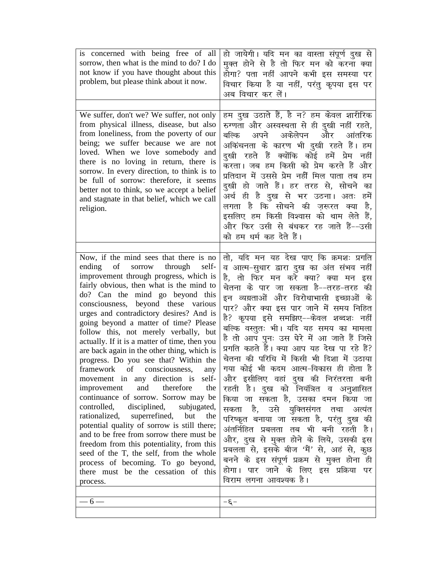| is concerned with being free of all<br>sorrow, then what is the mind to do? I do<br>not know if you have thought about this<br>problem, but please think about it now.                                                                                                                                                                                                                                                                                                                                                                                                                                                                                                                                                                                                                                                                                                                                                                                                                                                                           | हो जायेगी। यदि मन का वास्ता संपूर्ण दुख से<br>मुक्त होने से है तो फिर मन को करना क्या<br>होगा? पता नहीं आपने कभी इस समस्या पर<br>विचार किया है या नहीं, परंतु कृपया इस पर<br>अब विचार कर लें।                                                                                                                                                                                                                                                                                                                                                                                                                                                                                                                                                                                                                                                                                                                                                                                               |
|--------------------------------------------------------------------------------------------------------------------------------------------------------------------------------------------------------------------------------------------------------------------------------------------------------------------------------------------------------------------------------------------------------------------------------------------------------------------------------------------------------------------------------------------------------------------------------------------------------------------------------------------------------------------------------------------------------------------------------------------------------------------------------------------------------------------------------------------------------------------------------------------------------------------------------------------------------------------------------------------------------------------------------------------------|---------------------------------------------------------------------------------------------------------------------------------------------------------------------------------------------------------------------------------------------------------------------------------------------------------------------------------------------------------------------------------------------------------------------------------------------------------------------------------------------------------------------------------------------------------------------------------------------------------------------------------------------------------------------------------------------------------------------------------------------------------------------------------------------------------------------------------------------------------------------------------------------------------------------------------------------------------------------------------------------|
| We suffer, don't we? We suffer, not only<br>from physical illness, disease, but also<br>from loneliness, from the poverty of our<br>being; we suffer because we are not<br>loved. When we love somebody and<br>there is no loving in return, there is<br>sorrow. In every direction, to think is to<br>be full of sorrow: therefore, it seems<br>better not to think, so we accept a belief<br>and stagnate in that belief, which we call<br>religion.                                                                                                                                                                                                                                                                                                                                                                                                                                                                                                                                                                                           | हम दुख उठाते हैं, है न? हम केवल शारीरिक<br>रुग्णता और अस्वस्थता से ही दुखी नहीं रहते,<br>अकेलेपन और आंतरिक<br>अपने<br>बल्कि<br>अकिंचनता के कारण भी दुखी रहते हैं। हम<br>दुखी रहते हैं क्योंकि कोई हमें प्रेम नहीं<br>करता। जब हम किसी को प्रेम करते हैं और<br>प्रतिदान में उससे प्रेम नहीं मिल पाता तब हम<br>दुखी हो जाते हैं। हर तरह से, सोचने का<br>अर्थ ही है दुख से भर उठना। अतः हमें<br>लगता है कि सोचने की ज़रूरत क्या<br>है,<br>इसलिए हम किसी विश्वास को थाम लेते हैं,<br>और फिर उसी से बंधकर रह जाते हैं--उसी<br>को हम धर्म कह देते हैं।                                                                                                                                                                                                                                                                                                                                                                                                                                            |
| Now, if the mind sees that there is no<br>ending of sorrow through<br>self-<br>improvement through progress, which is<br>fairly obvious, then what is the mind to<br>do? Can the mind go beyond this<br>consciousness, beyond these various<br>urges and contradictory desires? And is<br>going beyond a matter of time? Please<br>follow this, not merely verbally, but<br>actually. If it is a matter of time, then you<br>are back again in the other thing, which is<br>progress. Do you see that? Within the<br>framework of consciousness, any<br>movement in any direction is self-<br>improvement and therefore<br>the<br>continuance of sorrow. Sorrow may be<br>controlled,<br>disciplined, subjugated,<br>rationalized, superrefined, but<br>the<br>potential quality of sorrow is still there;<br>and to be free from sorrow there must be<br>freedom from this potentiality, from this<br>seed of the T, the self, from the whole<br>process of becoming. To go beyond,<br>there must be the cessation of this<br>process.<br>– 6 — | तो, यदि मन यह देख पाए कि क्रमशः प्रगति<br>व आत्म-सुधार द्वारा दुख का अंत संभव नहीं<br>है, तो फिर मन करे क्या? क्या मन इस<br>चेतना के पार जा सकता है--तरह-तरह की<br>इन व्यग्रताओं और विरोधाभासी इच्छाओं के<br>पार? और क्या इस पार जाने में समय निहित<br>है? कृपया इसे समझिए--केवल शब्दशः नहीं<br>बल्कि वस्तुतः भी। यदि यह समय का मामला<br>है तो आप पुनः उस घेरे में आ जाते हैं जिसे<br>प्रगति कहते हैं। क्या आप यह देख पा रहे हैं?<br>चेतना की परिधि में किसी भी दिशा में उठाया<br>गया कोई भी कदम आत्म-विकास ही होता है<br>और इसीलिए वहां दुख की निरंतरता बनी<br>रहती है। दुख को नियंत्रित व अनुशासित<br>किया जा सकता है, उसका दमन किया जा<br>सकता है, उसे युक्तिसंगत तथा अत्यंत<br>परिष्कृत बनाया जा सकता है, परंतु दुख की<br>अंतर्निहित प्रबलता तब भी बनी रहती है।<br>और, दुख से मुक्त होने के लिये, उसकी इस<br>प्रबलता से, इसके बीज 'मैं' से, अहं से, कुछ<br>बनने के इस संपूर्ण प्रक्रम से मुक्त होना ही<br>होगा। पार जाने के लिए इस प्रक्रिया<br>पर<br>विराम लगना आवश्यक है।<br>$-\xi$ - |
|                                                                                                                                                                                                                                                                                                                                                                                                                                                                                                                                                                                                                                                                                                                                                                                                                                                                                                                                                                                                                                                  |                                                                                                                                                                                                                                                                                                                                                                                                                                                                                                                                                                                                                                                                                                                                                                                                                                                                                                                                                                                             |